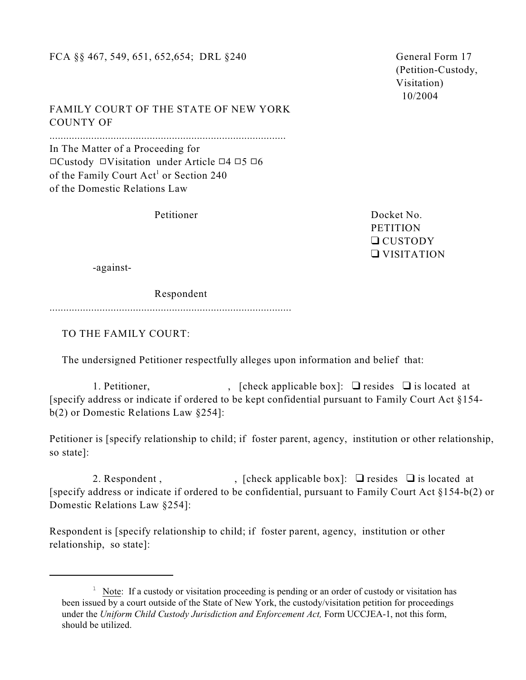## FCA §§ 467, 549, 651, 652, 654; DRL §240 General Form 17

 (Petition-Custody, Visitation) 10/2004

FAMILY COURT OF THE STATE OF NEW YORK COUNTY OF

..................................................................................... In The Matter of a Proceeding for  $\Box$ Custody  $\Box$ Visitation under Article  $\Box$ 4  $\Box$ 5  $\Box$ 6 of the Family Court Act<sup>1</sup> or Section 240 of the Domestic Relations Law

Petitioner Docket No. **PETITION** Q CUSTODY VISITATION

-against-

Respondent

.......................................................................................

TO THE FAMILY COURT:

The undersigned Petitioner respectfully alleges upon information and belief that:

1. Petitioner,  $\qquad \qquad$ , [check applicable box]:  $\Box$  resides  $\Box$  is located at [specify address or indicate if ordered to be kept confidential pursuant to Family Court Act §154 b(2) or Domestic Relations Law §254]:

Petitioner is [specify relationship to child; if foster parent, agency, institution or other relationship, so state]:

2. Respondent,  $\int$ ,  $[check applied be box]$ :  $\Box$  resides  $\Box$  is located at [specify address or indicate if ordered to be confidential, pursuant to Family Court Act §154-b(2) or Domestic Relations Law §254]:

Respondent is [specify relationship to child; if foster parent, agency, institution or other relationship, so state]:

 $1$  Note: If a custody or visitation proceeding is pending or an order of custody or visitation has been issued by a court outside of the State of New York, the custody/visitation petition for proceedings under the *Uniform Child Custody Jurisdiction and Enforcement Act,* Form UCCJEA-1, not this form, should be utilized.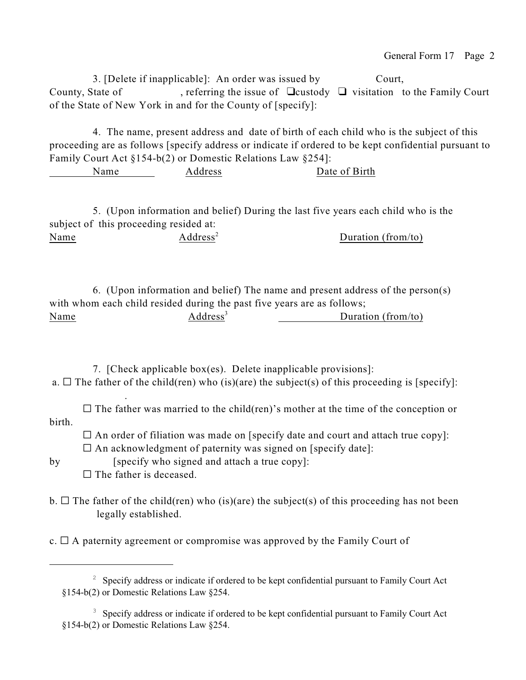3. [Delete if inapplicable]: An order was issued by Court, County, State of , referring the issue of  $\Box$ custody  $\Box$  visitation to the Family Court of the State of New York in and for the County of [specify]:

4. The name, present address and date of birth of each child who is the subject of this proceeding are as follows [specify address or indicate if ordered to be kept confidential pursuant to Family Court Act §154-b(2) or Domestic Relations Law §254]:

Name Address Date of Birth

5. (Upon information and belief) During the last five years each child who is the subject of this proceeding resided at: Name  $\qquad \qquad \text{Address}^2$  Duration (from/to)

6. (Upon information and belief) The name and present address of the person(s) with whom each child resided during the past five years are as follows; Name  $Address<sup>3</sup>$  Duration (from/to)

7. [Check applicable box(es). Delete inapplicable provisions]: a.  $\Box$  The father of the child(ren) who (is)(are) the subject(s) of this proceeding is [specify]:

 $\square$  The father was married to the child(ren)'s mother at the time of the conception or birth.

 $\Box$  An order of filiation was made on [specify date and court and attach true copy]:  $\Box$  An acknowledgment of paternity was signed on [specify date]:

.

by [specify who signed and attach a true copy]:  $\Box$  The father is deceased.

 $b. \Box$  The father of the child(ren) who (is)(are) the subject(s) of this proceeding has not been legally established.

c.  $\Box$  A paternity agreement or compromise was approved by the Family Court of

 $2^{\circ}$  Specify address or indicate if ordered to be kept confidential pursuant to Family Court Act §154-b(2) or Domestic Relations Law §254.

 $3\overline{3}$  Specify address or indicate if ordered to be kept confidential pursuant to Family Court Act §154-b(2) or Domestic Relations Law §254.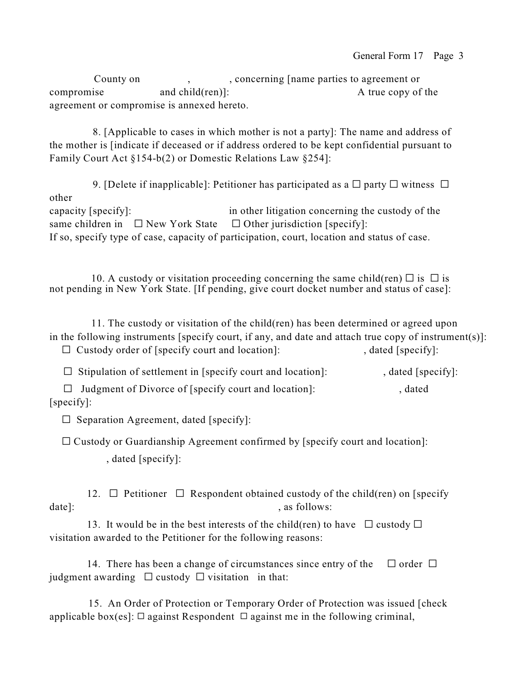County on , concerning [name parties to agreement or compromise and child(ren)]: A true copy of the agreement or compromise is annexed hereto.

8. [Applicable to cases in which mother is not a party]: The name and address of the mother is [indicate if deceased or if address ordered to be kept confidential pursuant to Family Court Act §154-b(2) or Domestic Relations Law §254]:

9. [Delete if inapplicable]: Petitioner has participated as a  $\Box$  party  $\Box$  witness  $\Box$ other capacity [specify]: in other litigation concerning the custody of the same children in  $\Box$  New York State  $\Box$  Other jurisdiction [specify]: If so, specify type of case, capacity of participation, court, location and status of case.

10. A custody or visitation proceeding concerning the same child(ren)  $\Box$  is  $\Box$  is not pending in New York State. [If pending, give court docket number and status of case]:

 11. The custody or visitation of the child(ren) has been determined or agreed upon in the following instruments [specify court, if any, and date and attach true copy of instrument(s)]:  $\Box$  Custody order of [specify court and location]: , dated [specify]:

 $\Box$  Stipulation of settlement in [specify court and location]: , dated [specify]:  $\Box$  Judgment of Divorce of [specify court and location]:  $\Box$  dated [specify]:

 $\square$  Separation Agreement, dated [specify]:

 $\Box$  Custody or Guardianship Agreement confirmed by [specify court and location]:

, dated [specify]:

12.  $\Box$  Petitioner  $\Box$  Respondent obtained custody of the child(ren) on [specify date]:  $\qquad \qquad$  , as follows:

13. It would be in the best interests of the child(ren) to have  $\Box$  custody  $\Box$ visitation awarded to the Petitioner for the following reasons:

14. There has been a change of circumstances since entry of the  $\Box$  order  $\Box$ judgment awarding  $\Box$  custody  $\Box$  visitation in that:

 15. An Order of Protection or Temporary Order of Protection was issued [check applicable box(es]:  $\Box$  against Respondent  $\Box$  against me in the following criminal,